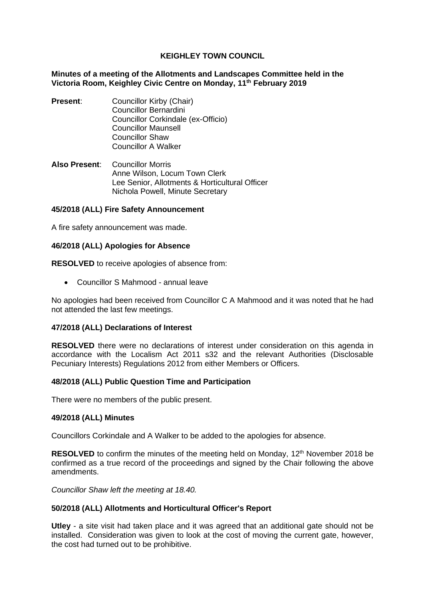# **KEIGHLEY TOWN COUNCIL**

#### **Minutes of a meeting of the Allotments and Landscapes Committee held in the Victoria Room, Keighley Civic Centre on Monday, 11th February 2019**

- **Present:** Councillor Kirby (Chair) Councillor Bernardini Councillor Corkindale (ex-Officio) Councillor Maunsell Councillor Shaw Councillor A Walker
- **Also Present**: Councillor Morris Anne Wilson, Locum Town Clerk Lee Senior, Allotments & Horticultural Officer Nichola Powell, Minute Secretary

# **45/2018 (ALL) Fire Safety Announcement**

A fire safety announcement was made.

#### **46/2018 (ALL) Apologies for Absence**

**RESOLVED** to receive apologies of absence from:

• Councillor S Mahmood - annual leave

No apologies had been received from Councillor C A Mahmood and it was noted that he had not attended the last few meetings.

#### **47/2018 (ALL) Declarations of Interest**

**RESOLVED** there were no declarations of interest under consideration on this agenda in accordance with the Localism Act 2011 s32 and the relevant Authorities (Disclosable Pecuniary Interests) Regulations 2012 from either Members or Officers.

#### **48/2018 (ALL) Public Question Time and Participation**

There were no members of the public present.

#### **49/2018 (ALL) Minutes**

Councillors Corkindale and A Walker to be added to the apologies for absence.

**RESOLVED** to confirm the minutes of the meeting held on Monday, 12<sup>th</sup> November 2018 be confirmed as a true record of the proceedings and signed by the Chair following the above amendments.

*Councillor Shaw left the meeting at 18.40.*

#### **50/2018 (ALL) Allotments and Horticultural Officer's Report**

**Utley** - a site visit had taken place and it was agreed that an additional gate should not be installed. Consideration was given to look at the cost of moving the current gate, however, the cost had turned out to be prohibitive.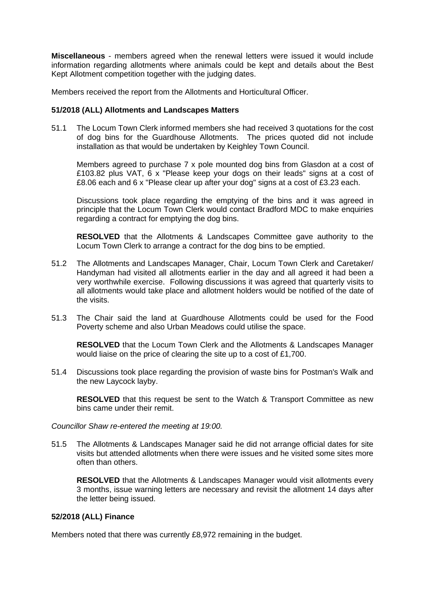**Miscellaneous** - members agreed when the renewal letters were issued it would include information regarding allotments where animals could be kept and details about the Best Kept Allotment competition together with the judging dates.

Members received the report from the Allotments and Horticultural Officer.

## **51/2018 (ALL) Allotments and Landscapes Matters**

51.1 The Locum Town Clerk informed members she had received 3 quotations for the cost of dog bins for the Guardhouse Allotments. The prices quoted did not include installation as that would be undertaken by Keighley Town Council.

Members agreed to purchase 7 x pole mounted dog bins from Glasdon at a cost of £103.82 plus VAT, 6 x "Please keep your dogs on their leads" signs at a cost of £8.06 each and 6 x "Please clear up after your dog" signs at a cost of £3.23 each.

Discussions took place regarding the emptying of the bins and it was agreed in principle that the Locum Town Clerk would contact Bradford MDC to make enquiries regarding a contract for emptying the dog bins.

**RESOLVED** that the Allotments & Landscapes Committee gave authority to the Locum Town Clerk to arrange a contract for the dog bins to be emptied.

- 51.2 The Allotments and Landscapes Manager, Chair, Locum Town Clerk and Caretaker/ Handyman had visited all allotments earlier in the day and all agreed it had been a very worthwhile exercise. Following discussions it was agreed that quarterly visits to all allotments would take place and allotment holders would be notified of the date of the visits.
- 51.3 The Chair said the land at Guardhouse Allotments could be used for the Food Poverty scheme and also Urban Meadows could utilise the space.

**RESOLVED** that the Locum Town Clerk and the Allotments & Landscapes Manager would liaise on the price of clearing the site up to a cost of £1,700.

51.4 Discussions took place regarding the provision of waste bins for Postman's Walk and the new Laycock layby.

**RESOLVED** that this request be sent to the Watch & Transport Committee as new bins came under their remit.

*Councillor Shaw re-entered the meeting at 19:00.*

51.5 The Allotments & Landscapes Manager said he did not arrange official dates for site visits but attended allotments when there were issues and he visited some sites more often than others.

**RESOLVED** that the Allotments & Landscapes Manager would visit allotments every 3 months, issue warning letters are necessary and revisit the allotment 14 days after the letter being issued.

# **52/2018 (ALL) Finance**

Members noted that there was currently £8,972 remaining in the budget.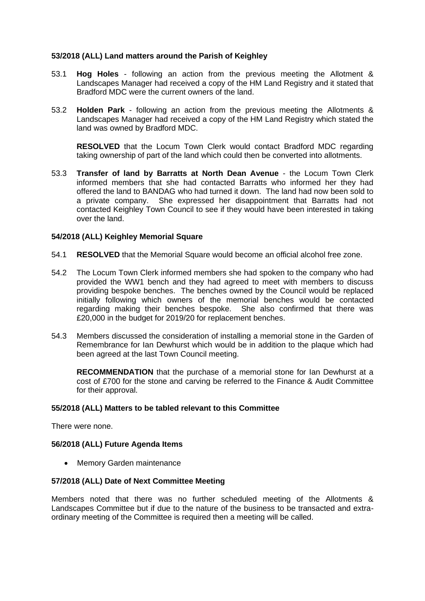# **53/2018 (ALL) Land matters around the Parish of Keighley**

- 53.1 **Hog Holes** following an action from the previous meeting the Allotment & Landscapes Manager had received a copy of the HM Land Registry and it stated that Bradford MDC were the current owners of the land.
- 53.2 **Holden Park** following an action from the previous meeting the Allotments & Landscapes Manager had received a copy of the HM Land Registry which stated the land was owned by Bradford MDC.

**RESOLVED** that the Locum Town Clerk would contact Bradford MDC regarding taking ownership of part of the land which could then be converted into allotments.

53.3 **Transfer of land by Barratts at North Dean Avenue** - the Locum Town Clerk informed members that she had contacted Barratts who informed her they had offered the land to BANDAG who had turned it down. The land had now been sold to a private company. She expressed her disappointment that Barratts had not contacted Keighley Town Council to see if they would have been interested in taking over the land.

# **54/2018 (ALL) Keighley Memorial Square**

- 54.1 **RESOLVED** that the Memorial Square would become an official alcohol free zone.
- 54.2 The Locum Town Clerk informed members she had spoken to the company who had provided the WW1 bench and they had agreed to meet with members to discuss providing bespoke benches. The benches owned by the Council would be replaced initially following which owners of the memorial benches would be contacted regarding making their benches bespoke. She also confirmed that there was £20,000 in the budget for 2019/20 for replacement benches.
- 54.3 Members discussed the consideration of installing a memorial stone in the Garden of Remembrance for Ian Dewhurst which would be in addition to the plaque which had been agreed at the last Town Council meeting.

**RECOMMENDATION** that the purchase of a memorial stone for Ian Dewhurst at a cost of £700 for the stone and carving be referred to the Finance & Audit Committee for their approval.

# **55/2018 (ALL) Matters to be tabled relevant to this Committee**

There were none.

# **56/2018 (ALL) Future Agenda Items**

• Memory Garden maintenance

# **57/2018 (ALL) Date of Next Committee Meeting**

Members noted that there was no further scheduled meeting of the Allotments & Landscapes Committee but if due to the nature of the business to be transacted and extraordinary meeting of the Committee is required then a meeting will be called.